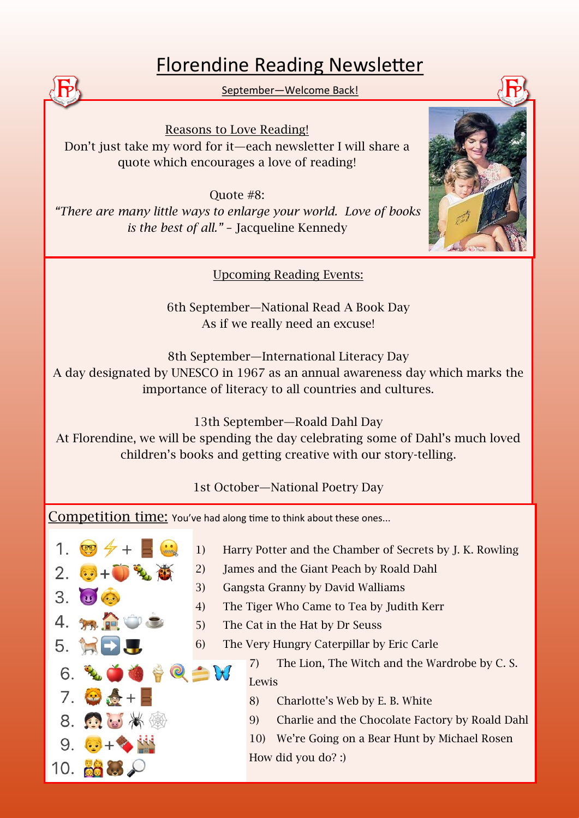## Florendine Reading Newsletter

September—Welcome Back!

Reasons to Love Reading! Don't just take my word for it—each newsletter I will share a quote which encourages a love of reading!

Quote #8: *"There are many little ways to enlarge your world. Love of books is the best of all."* – Jacqueline Kennedy

Upcoming Reading Events:

6th September—National Read A Book Day As if we really need an excuse!

8th September—International Literacy Day

A day designated by UNESCO in 1967 as an annual awareness day which marks the importance of literacy to all countries and cultures.

13th September—Roald Dahl Day

At Florendine, we will be spending the day celebrating some of Dahl's much loved children's books and getting creative with our story-telling.

1st October—National Poetry Day

Competition time: You've had along time to think about these ones...

- $\mathbf 1$ . 3. 4. 5.  $\triangleq 0 \triangleq 0$ 6.  $7.$   $\circ$   $\bullet$  + 8. 6. 3 10.  $\alpha$ 
	- 1) Harry Potter and the Chamber of Secrets by J. K. Rowling
	- 2) James and the Giant Peach by Roald Dahl
	- 3) Gangsta Granny by David Walliams
	- 4) The Tiger Who Came to Tea by Judith Kerr
	- 5) The Cat in the Hat by Dr Seuss
	- 6) The Very Hungry Caterpillar by Eric Carle

7) The Lion, The Witch and the Wardrobe by C. S. Lewis

- 8) Charlotte's Web by E. B. White
- 9) Charlie and the Chocolate Factory by Roald Dahl

10) We're Going on a Bear Hunt by Michael Rosen How did you do? :)